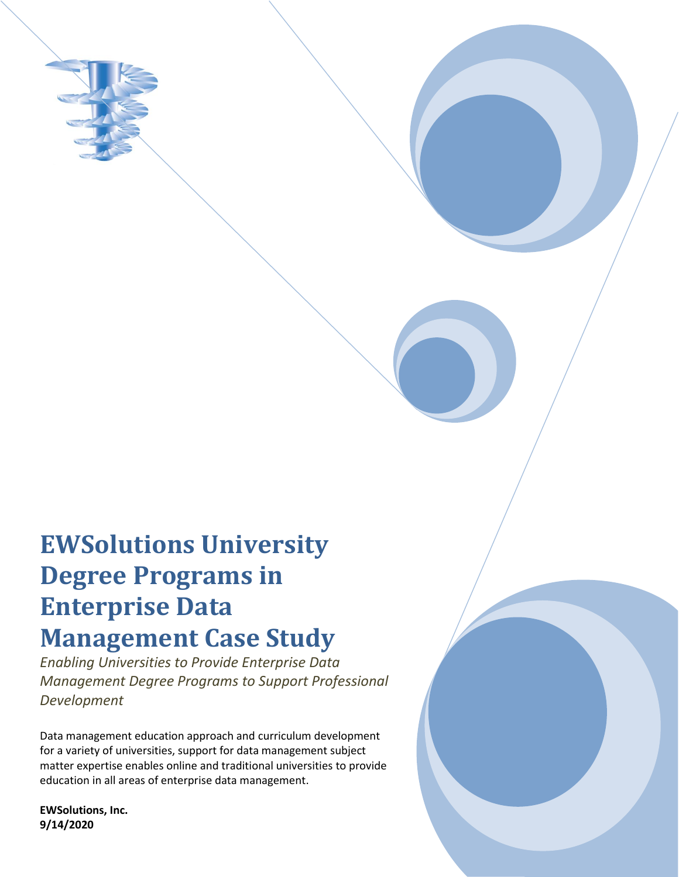

# **EWSolutions University Degree Programs in Enterprise Data Management Case Study**

*Enabling Universities to Provide Enterprise Data Management Degree Programs to Support Professional Development*

Data management education approach and curriculum development for a variety of universities, support for data management subject matter expertise enables online and traditional universities to provide education in all areas of enterprise data management.

**EWSolutions, Inc. 9/14/2020**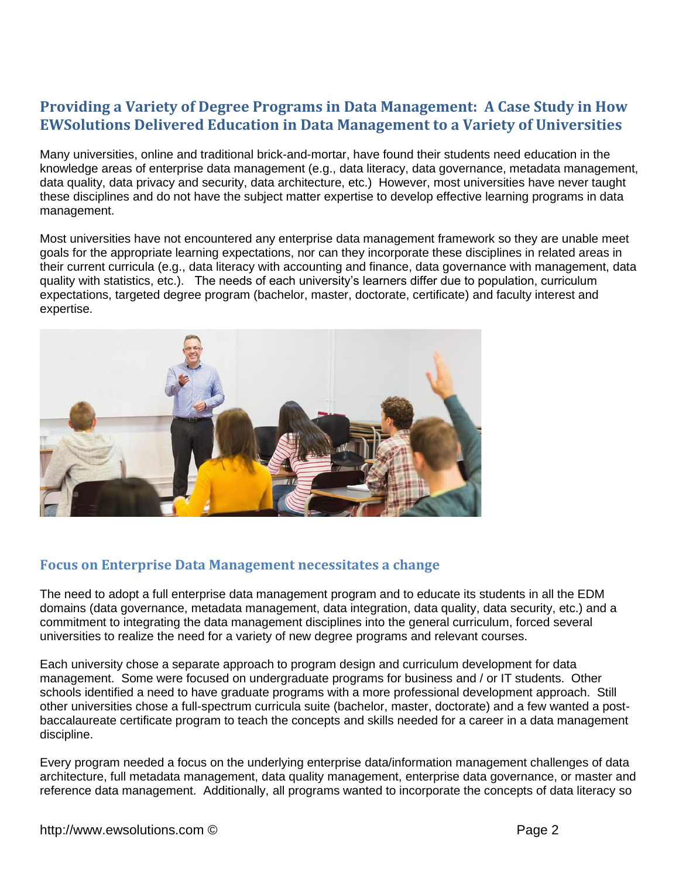# **Providing a Variety of Degree Programs in Data Management: A Case Study in How EWSolutions Delivered Education in Data Management to a Variety of Universities**

Many universities, online and traditional brick-and-mortar, have found their students need education in the knowledge areas of enterprise data management (e.g., data literacy, data governance, metadata management, data quality, data privacy and security, data architecture, etc.) However, most universities have never taught these disciplines and do not have the subject matter expertise to develop effective learning programs in data management.

Most universities have not encountered any enterprise data management framework so they are unable meet goals for the appropriate learning expectations, nor can they incorporate these disciplines in related areas in their current curricula (e.g., data literacy with accounting and finance, data governance with management, data quality with statistics, etc.). The needs of each university's learners differ due to population, curriculum expectations, targeted degree program (bachelor, master, doctorate, certificate) and faculty interest and expertise.



#### **Focus on Enterprise Data Management necessitates a change**

The need to adopt a full enterprise data management program and to educate its students in all the EDM domains (data governance, metadata management, data integration, data quality, data security, etc.) and a commitment to integrating the data management disciplines into the general curriculum, forced several universities to realize the need for a variety of new degree programs and relevant courses.

Each university chose a separate approach to program design and curriculum development for data management. Some were focused on undergraduate programs for business and / or IT students. Other schools identified a need to have graduate programs with a more professional development approach. Still other universities chose a full-spectrum curricula suite (bachelor, master, doctorate) and a few wanted a postbaccalaureate certificate program to teach the concepts and skills needed for a career in a data management discipline.

Every program needed a focus on the underlying enterprise data/information management challenges of data architecture, full metadata management, data quality management, enterprise data governance, or master and reference data management. Additionally, all programs wanted to incorporate the concepts of data literacy so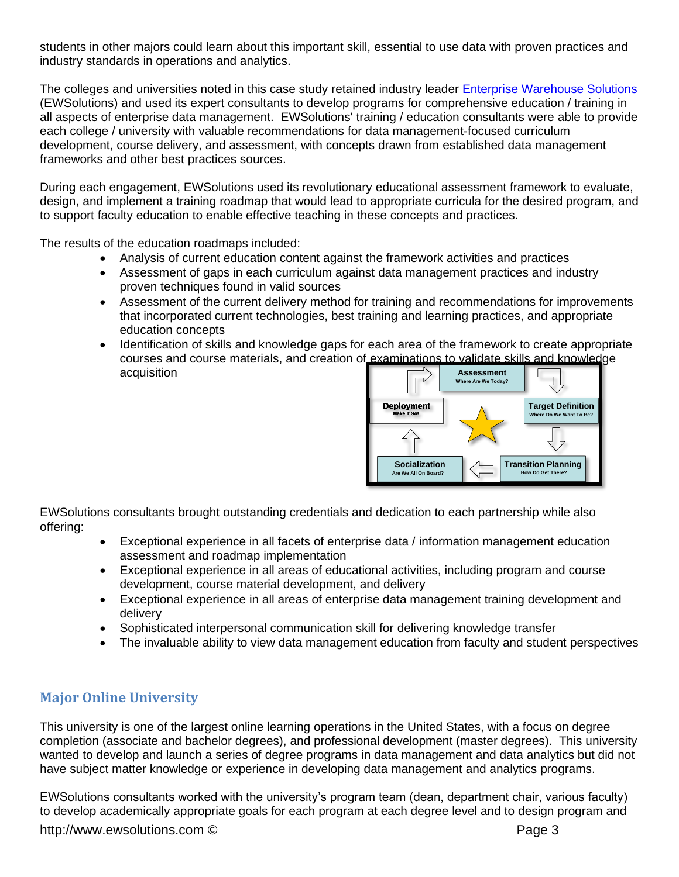students in other majors could learn about this important skill, essential to use data with proven practices and industry standards in operations and analytics.

The colleges and universities noted in this case study retained industry leader [Enterprise Warehouse Solutions](http://www.ewsolutions.com/) (EWSolutions) and used its expert consultants to develop programs for comprehensive education / training in all aspects of enterprise data management. EWSolutions' training / education consultants were able to provide each college / university with valuable recommendations for data management-focused curriculum development, course delivery, and assessment, with concepts drawn from established data management frameworks and other best practices sources.

During each engagement, EWSolutions used its revolutionary educational assessment framework to evaluate, design, and implement a training roadmap that would lead to appropriate curricula for the desired program, and to support faculty education to enable effective teaching in these concepts and practices.

The results of the education roadmaps included:

- Analysis of current education content against the framework activities and practices
- Assessment of gaps in each curriculum against data management practices and industry proven techniques found in valid sources
- Assessment of the current delivery method for training and recommendations for improvements that incorporated current technologies, best training and learning practices, and appropriate education concepts
- Identification of skills and knowledge gaps for each area of the framework to create appropriate courses and course materials, and creation of examinations to validate skills and knowledge acquisition **Assessment**



EWSolutions consultants brought outstanding credentials and dedication to each partnership while also offering:

- Exceptional experience in all facets of enterprise data / information management education assessment and roadmap implementation
- Exceptional experience in all areas of educational activities, including program and course development, course material development, and delivery
- Exceptional experience in all areas of enterprise data management training development and delivery
- Sophisticated interpersonal communication skill for delivering knowledge transfer
- The invaluable ability to view data management education from faculty and student perspectives

## **Major Online University**

This university is one of the largest online learning operations in the United States, with a focus on degree completion (associate and bachelor degrees), and professional development (master degrees). This university wanted to develop and launch a series of degree programs in data management and data analytics but did not have subject matter knowledge or experience in developing data management and analytics programs.

EWSolutions consultants worked with the university's program team (dean, department chair, various faculty) to develop academically appropriate goals for each program at each degree level and to design program and

http://www.ewsolutions.com © Page 3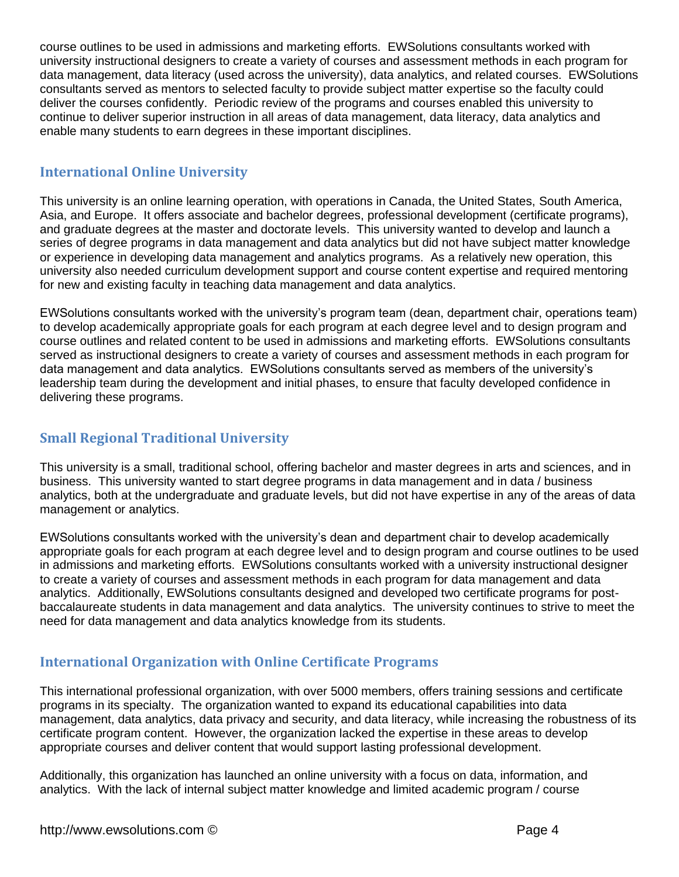course outlines to be used in admissions and marketing efforts. EWSolutions consultants worked with university instructional designers to create a variety of courses and assessment methods in each program for data management, data literacy (used across the university), data analytics, and related courses. EWSolutions consultants served as mentors to selected faculty to provide subject matter expertise so the faculty could deliver the courses confidently. Periodic review of the programs and courses enabled this university to continue to deliver superior instruction in all areas of data management, data literacy, data analytics and enable many students to earn degrees in these important disciplines.

#### **International Online University**

This university is an online learning operation, with operations in Canada, the United States, South America, Asia, and Europe. It offers associate and bachelor degrees, professional development (certificate programs), and graduate degrees at the master and doctorate levels. This university wanted to develop and launch a series of degree programs in data management and data analytics but did not have subject matter knowledge or experience in developing data management and analytics programs. As a relatively new operation, this university also needed curriculum development support and course content expertise and required mentoring for new and existing faculty in teaching data management and data analytics.

EWSolutions consultants worked with the university's program team (dean, department chair, operations team) to develop academically appropriate goals for each program at each degree level and to design program and course outlines and related content to be used in admissions and marketing efforts. EWSolutions consultants served as instructional designers to create a variety of courses and assessment methods in each program for data management and data analytics. EWSolutions consultants served as members of the university's leadership team during the development and initial phases, to ensure that faculty developed confidence in delivering these programs.

#### **Small Regional Traditional University**

This university is a small, traditional school, offering bachelor and master degrees in arts and sciences, and in business. This university wanted to start degree programs in data management and in data / business analytics, both at the undergraduate and graduate levels, but did not have expertise in any of the areas of data management or analytics.

EWSolutions consultants worked with the university's dean and department chair to develop academically appropriate goals for each program at each degree level and to design program and course outlines to be used in admissions and marketing efforts. EWSolutions consultants worked with a university instructional designer to create a variety of courses and assessment methods in each program for data management and data analytics. Additionally, EWSolutions consultants designed and developed two certificate programs for postbaccalaureate students in data management and data analytics. The university continues to strive to meet the need for data management and data analytics knowledge from its students.

## **International Organization with Online Certificate Programs**

This international professional organization, with over 5000 members, offers training sessions and certificate programs in its specialty. The organization wanted to expand its educational capabilities into data management, data analytics, data privacy and security, and data literacy, while increasing the robustness of its certificate program content. However, the organization lacked the expertise in these areas to develop appropriate courses and deliver content that would support lasting professional development.

Additionally, this organization has launched an online university with a focus on data, information, and analytics. With the lack of internal subject matter knowledge and limited academic program / course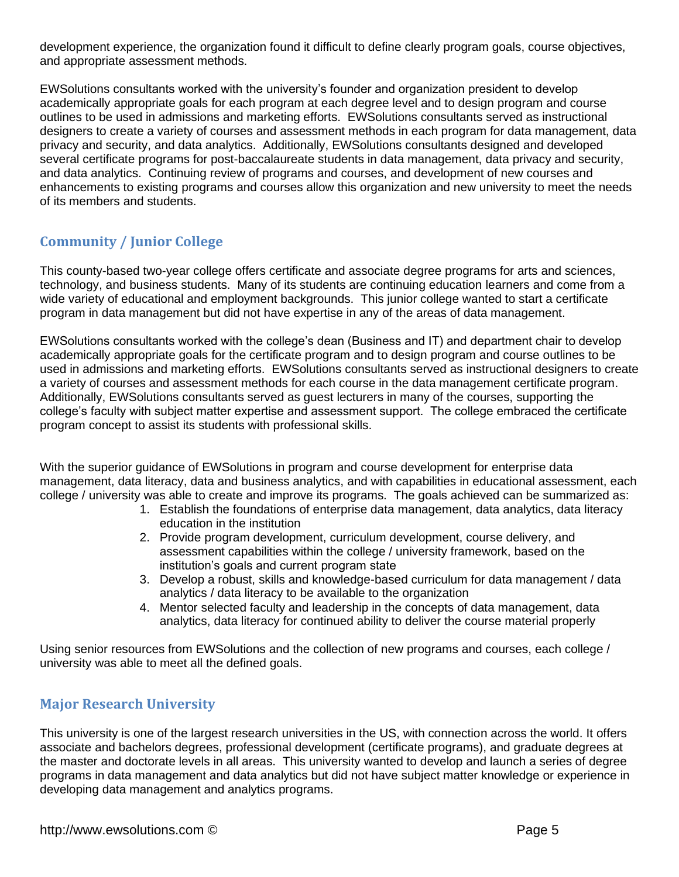development experience, the organization found it difficult to define clearly program goals, course objectives, and appropriate assessment methods.

EWSolutions consultants worked with the university's founder and organization president to develop academically appropriate goals for each program at each degree level and to design program and course outlines to be used in admissions and marketing efforts. EWSolutions consultants served as instructional designers to create a variety of courses and assessment methods in each program for data management, data privacy and security, and data analytics. Additionally, EWSolutions consultants designed and developed several certificate programs for post-baccalaureate students in data management, data privacy and security, and data analytics. Continuing review of programs and courses, and development of new courses and enhancements to existing programs and courses allow this organization and new university to meet the needs of its members and students.

## **Community / Junior College**

This county-based two-year college offers certificate and associate degree programs for arts and sciences, technology, and business students. Many of its students are continuing education learners and come from a wide variety of educational and employment backgrounds. This junior college wanted to start a certificate program in data management but did not have expertise in any of the areas of data management.

EWSolutions consultants worked with the college's dean (Business and IT) and department chair to develop academically appropriate goals for the certificate program and to design program and course outlines to be used in admissions and marketing efforts. EWSolutions consultants served as instructional designers to create a variety of courses and assessment methods for each course in the data management certificate program. Additionally, EWSolutions consultants served as guest lecturers in many of the courses, supporting the college's faculty with subject matter expertise and assessment support. The college embraced the certificate program concept to assist its students with professional skills.

With the superior guidance of EWSolutions in program and course development for enterprise data management, data literacy, data and business analytics, and with capabilities in educational assessment, each college / university was able to create and improve its programs. The goals achieved can be summarized as:

- 1. Establish the foundations of enterprise data management, data analytics, data literacy education in the institution
- 2. Provide program development, curriculum development, course delivery, and assessment capabilities within the college / university framework, based on the institution's goals and current program state
- 3. Develop a robust, skills and knowledge-based curriculum for data management / data analytics / data literacy to be available to the organization
- 4. Mentor selected faculty and leadership in the concepts of data management, data analytics, data literacy for continued ability to deliver the course material properly

Using senior resources from EWSolutions and the collection of new programs and courses, each college / university was able to meet all the defined goals.

#### **Major Research University**

This university is one of the largest research universities in the US, with connection across the world. It offers associate and bachelors degrees, professional development (certificate programs), and graduate degrees at the master and doctorate levels in all areas. This university wanted to develop and launch a series of degree programs in data management and data analytics but did not have subject matter knowledge or experience in developing data management and analytics programs.